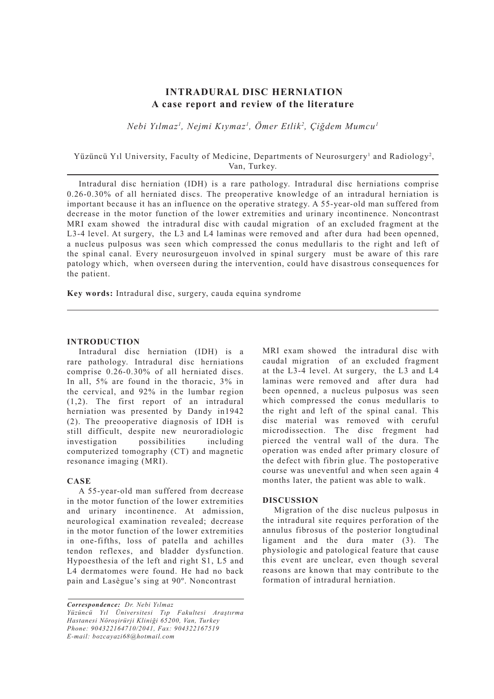# **INTRADURAL DISC HERNIATION A case report and review of the literature**

*Nebi Yılmaz1 , Nejmi Kıymaz1 , Ömer Etlik2 , Çiğdem Mumcu1*

## Yüzüncü Yıl University, Faculty of Medicine, Departments of Neurosurgery<sup>1</sup> and Radiology<sup>2</sup>, Van, Turkey.

Intradural disc herniation (IDH) is a rare pathology. Intradural disc herniations comprise 0.26-0.30% of all herniated discs. The preoperative knowledge of an intradural herniation is important because it has an influence on the operative strategy. A 55-year-old man suffered from decrease in the motor function of the lower extremities and urinary incontinence. Noncontrast MRI exam showed the intradural disc with caudal migration of an excluded fragment at the L3-4 level. At surgery, the L3 and L4 laminas were removed and after dura had been openned, a nucleus pulposus was seen which compressed the conus medullaris to the right and left of the spinal canal. Every neurosurgeuon involved in spinal surgery must be aware of this rare patology which, when overseen during the intervention, could have disastrous consequences for the patient.

**Key words:** Intradural disc, surgery, cauda equina syndrome

## **INTRODUCTION**

Intradural disc herniation (IDH) is a rare pathology. Intradural disc herniations comprise 0.26-0.30% of all herniated discs. In all, 5% are found in the thoracic, 3% in the cervical, and 92% in the lumbar region (1,2). The first report of an intradural herniation was presented by Dandy in1942 (2). The preooperative diagnosis of IDH is still difficult, despite new neuroradiologic investigation possibilities including computerized tomography (CT) and magnetic resonance imaging (MRI).

#### **CASE**

A 55-year-old man suffered from decrease in the motor function of the lower extremities and urinary incontinence. At admission, neurological examination revealed; decrease in the motor function of the lower extremities in one-fifths, loss of patella and achilles tendon reflexes, and bladder dysfunction. Hypoesthesia of the left and right S1, L5 and L4 dermatomes were found. He had no back pain and Lasègue's sing at 90º. Noncontrast

*Correspondence: Dr. Nebi Yılmaz Yüzüncü Yıl Üniversitesi Tıp Fakultesi Araştırma Hastanesi Nöroşirürji Kliniği 65200, Van, Turkey Phone: 904322164710/2041, Fax: 904322167519 E-mail: bozcayazi68@hotmail.com*

MRI exam showed the intradural disc with caudal migration of an excluded fragment at the L3-4 level. At surgery, the L3 and L4 laminas were removed and after dura had been openned, a nucleus pulposus was seen which compressed the conus medullaris to the right and left of the spinal canal. This disc material was removed with ceruful microdissection. The disc fregment had pierced the ventral wall of the dura. The operation was ended after primary closure of the defect with fibrin glue. The postoperative course was uneventful and when seen again 4 months later, the patient was able to walk.

#### **DISCUSSION**

Migration of the disc nucleus pulposus in the intradural site requires perforation of the annulus fibrosus of the posterior longtudinal ligament and the dura mater (3). The physiologic and patological feature that cause this event are unclear, even though several reasons are known that may contribute to the formation of intradural herniation.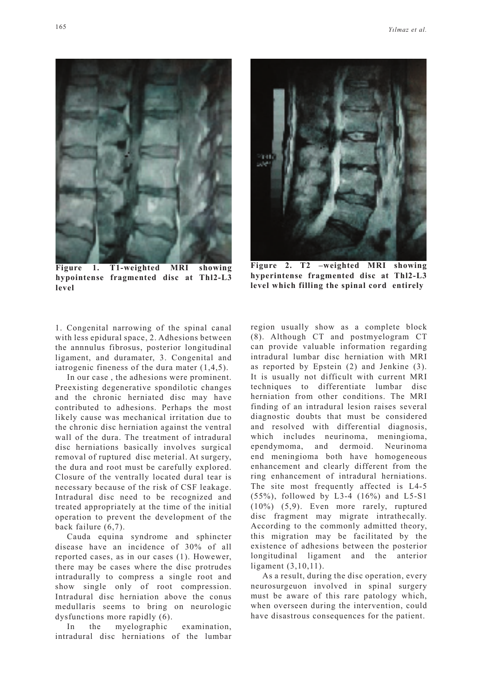

**Figure 1. T1-weighted MRI showing hypointense fragmented disc at Thl2-L3 level**

1. Congenital narrowing of the spinal canal with less epidural space, 2. Adhesions between the annnulus fibrosus, posterior longitudinal ligament, and duramater, 3. Congenital and iatrogenic fineness of the dura mater (1,4,5).

In our case , the adhesions were prominent. Preexisting degenerative spondilotic changes and the chronic herniated disc may have contributed to adhesions. Perhaps the most likely cause was mechanical irritation due to the chronic disc herniation against the ventral wall of the dura. The treatment of intradural disc herniations basically involves surgical removal of ruptured disc meterial. At surgery, the dura and root must be carefully explored. Closure of the ventrally located dural tear is necessary because of the risk of CSF leakage. Intradural disc need to be recognized and treated appropriately at the time of the initial operation to prevent the development of the back failure (6,7).

Cauda equina syndrome and sphincter disease have an incidence of 30% of all reported cases, as in our cases (1). Howewer, there may be cases where the disc protrudes intradurally to compress a single root and show single only of root compression. Intradural disc herniation above the conus medullaris seems to bring on neurologic dysfunctions more rapidly (6).

In the myelographic examination, intradural disc herniations of the lumbar

**Figure 2. T2 –weighted MRI showing hyperintense fragmented disc at Thl2-L3 level which filling the spinal cord entirely**

region usually show as a complete block (8). Although CT and postmyelogram CT can provide valuable information regarding intradural lumbar disc herniation with MRI as reported by Epstein (2) and Jenkine (3). It is usually not difficult with current MRI techniques to differentiate lumbar disc herniation from other conditions. The MRI finding of an intradural lesion raises several diagnostic doubts that must be considered and resolved with differential diagnosis, which includes neurinoma, meningioma, ependymoma, and dermoid. Neurinoma end meningioma both have homogeneous enhancement and clearly different from the ring enhancement of intradural herniations. The site most frequently affected is L4-5 (55%), followed by L3-4 (16%) and L5-S1 (10%) (5,9). Even more rarely, ruptured disc fragment may migrate intrathecally. According to the commonly admitted theory, this migration may be facilitated by the existence of adhesions between the posterior longitudinal ligament and the anterior ligament (3,10,11).

As a result, during the disc operation, every neurosurgeuon involved in spinal surgery must be aware of this rare patology which, when overseen during the intervention, could have disastrous consequences for the patient.